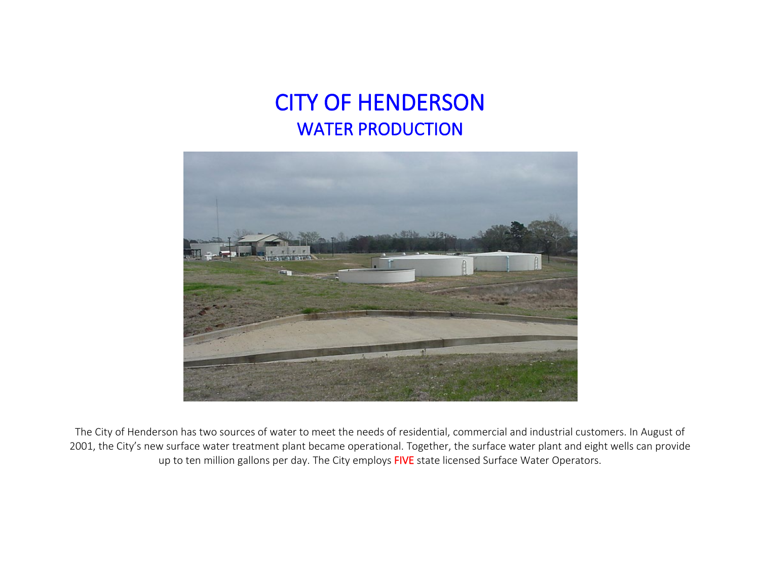## CITY OF HENDERSON WATER PRODUCTION



 The City of Henderson has two sources of water to meet the needs of residential, commercial and industrial customers. In August of 2001, the City's new surface water treatment plant became operational. Together, the surface water plant and eight wells can provide up to ten million gallons per day. The City employs FIVE state licensed Surface Water Operators.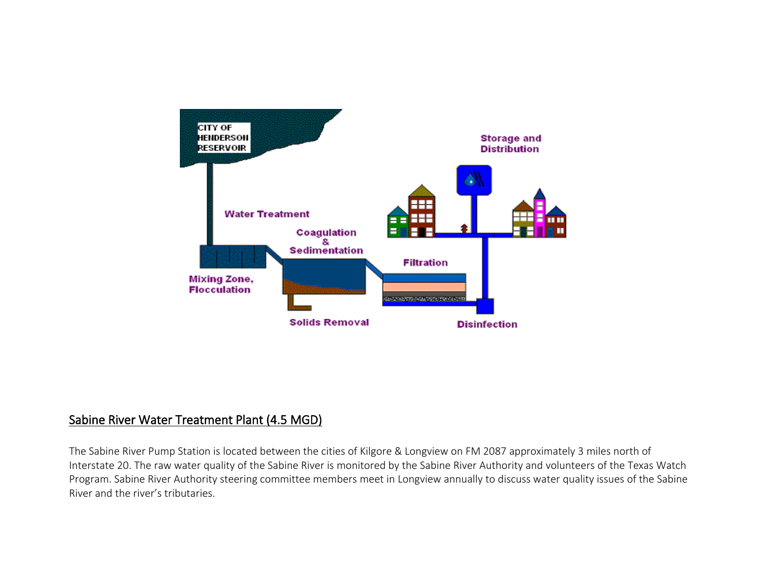

## Sabine River Water Treatment Plant (4.5 MGD)

The Sabine River Pump Station is located between the cities of Kilgore & Longview on FM 2087 approximately 3 miles north of Interstate 20. The raw water quality of the Sabine River is monitored by the Sabine River Authority and volunteers of the Texas Watch Program. Sabine River Authority steering committee members meet in Longview annually to discuss water quality issues of the Sabine River and the river's tributaries.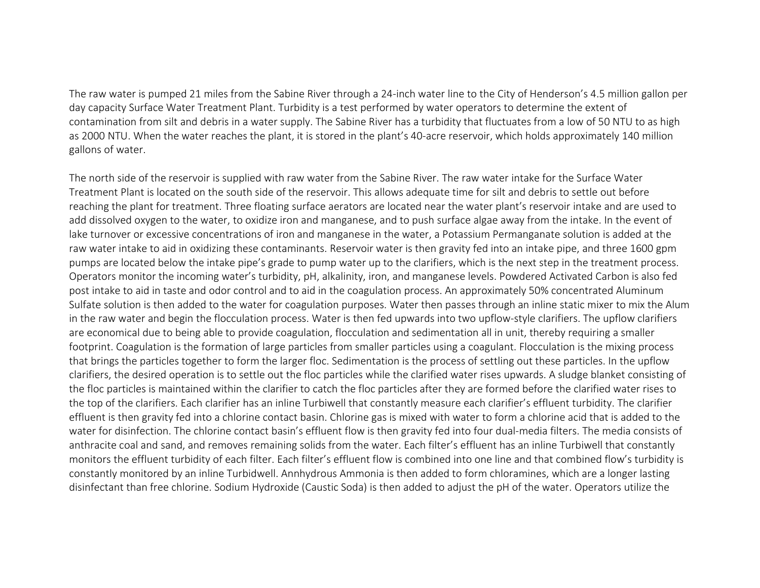The raw water is pumped 21 miles from the Sabine River through a 24-inch water line to the City of Henderson's 4.5 million gallon per day capacity Surface Water Treatment Plant. Turbidity is a test performed by water operators to determine the extent of contamination from silt and debris in a water supply. The Sabine River has a turbidity that fluctuates from a low of 50 NTU to as high as 2000 NTU. When the water reaches the plant, it is stored in the plant's 40-acre reservoir, which holds approximately 140 million gallons of water.

The north side of the reservoir is supplied with raw water from the Sabine River. The raw water intake for the Surface Water Treatment Plant is located on the south side of the reservoir. This allows adequate time for silt and debris to settle out before reaching the plant for treatment. Three floating surface aerators are located near the water plant's reservoir intake and are used to add dissolved oxygen to the water, to oxidize iron and manganese, and to push surface algae away from the intake. In the event of lake turnover or excessive concentrations of iron and manganese in the water, a Potassium Permanganate solution is added at the raw water intake to aid in oxidizing these contaminants. Reservoir water is then gravity fed into an intake pipe, and three 1600 gpm pumps are located below the intake pipe's grade to pump water up to the clarifiers, which is the next step in the treatment process. Operators monitor the incoming water's turbidity, pH, alkalinity, iron, and manganese levels. Powdered Activated Carbon is also fed post intake to aid in taste and odor control and to aid in the coagulation process. An approximately 50% concentrated Aluminum Sulfate solution is then added to the water for coagulation purposes. Water then passes through an inline static mixer to mix the Alum in the raw water and begin the flocculation process. Water is then fed upwards into two upflow-style clarifiers. The upflow clarifiers are economical due to being able to provide coagulation, flocculation and sedimentation all in unit, thereby requiring a smaller footprint. Coagulation is the formation of large particles from smaller particles using a coagulant. Flocculation is the mixing process that brings the particles together to form the larger floc. Sedimentation is the process of settling out these particles. In the upflow clarifiers, the desired operation is to settle out the floc particles while the clarified water rises upwards. A sludge blanket consisting of the floc particles is maintained within the clarifier to catch the floc particles after they are formed before the clarified water rises to the top of the clarifiers. Each clarifier has an inline Turbiwell that constantly measure each clarifier's effluent turbidity. The clarifier effluent is then gravity fed into a chlorine contact basin. Chlorine gas is mixed with water to form a chlorine acid that is added to the water for disinfection. The chlorine contact basin's effluent flow is then gravity fed into four dual-media filters. The media consists of anthracite coal and sand, and removes remaining solids from the water. Each filter's effluent has an inline Turbiwell that constantly monitors the effluent turbidity of each filter. Each filter's effluent flow is combined into one line and that combined flow's turbidity is constantly monitored by an inline Turbidwell. Annhydrous Ammonia is then added to form chloramines, which are a longer lasting disinfectant than free chlorine. Sodium Hydroxide (Caustic Soda) is then added to adjust the pH of the water. Operators utilize the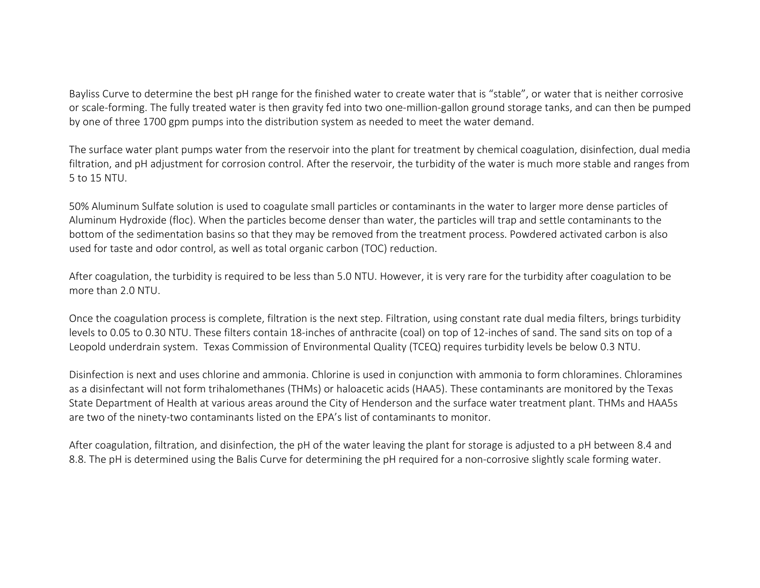Bayliss Curve to determine the best pH range for the finished water to create water that is "stable", or water that is neither corrosive or scale-forming. The fully treated water is then gravity fed into two one-million-gallon ground storage tanks, and can then be pumped by one of three 1700 gpm pumps into the distribution system as needed to meet the water demand.

The surface water plant pumps water from the reservoir into the plant for treatment by chemical coagulation, disinfection, dual media filtration, and pH adjustment for corrosion control. After the reservoir, the turbidity of the water is much more stable and ranges from 5 to 15 NTU.

50% Aluminum Sulfate solution is used to coagulate small particles or contaminants in the water to larger more dense particles of Aluminum Hydroxide (floc). When the particles become denser than water, the particles will trap and settle contaminants to the bottom of the sedimentation basins so that they may be removed from the treatment process. Powdered activated carbon is also used for taste and odor control, as well as total organic carbon (TOC) reduction.

After coagulation, the turbidity is required to be less than 5.0 NTU. However, it is very rare for the turbidity after coagulation to be more than 2.0 NTU.

Once the coagulation process is complete, filtration is the next step. Filtration, using constant rate dual media filters, brings turbidity levels to 0.05 to 0.30 NTU. These filters contain 18-inches of anthracite (coal) on top of 12-inches of sand. The sand sits on top of a Leopold underdrain system. Texas Commission of Environmental Quality (TCEQ) requires turbidity levels be below 0.3 NTU.

Disinfection is next and uses chlorine and ammonia. Chlorine is used in conjunction with ammonia to form chloramines. Chloramines as a disinfectant will not form trihalomethanes (THMs) or haloacetic acids (HAA5). These contaminants are monitored by the Texas State Department of Health at various areas around the City of Henderson and the surface water treatment plant. THMs and HAA5s are two of the ninety-two contaminants listed on the EPA's list of contaminants to monitor.

After coagulation, filtration, and disinfection, the pH of the water leaving the plant for storage is adjusted to a pH between 8.4 and 8.8. The pH is determined using the Balis Curve for determining the pH required for a non-corrosive slightly scale forming water.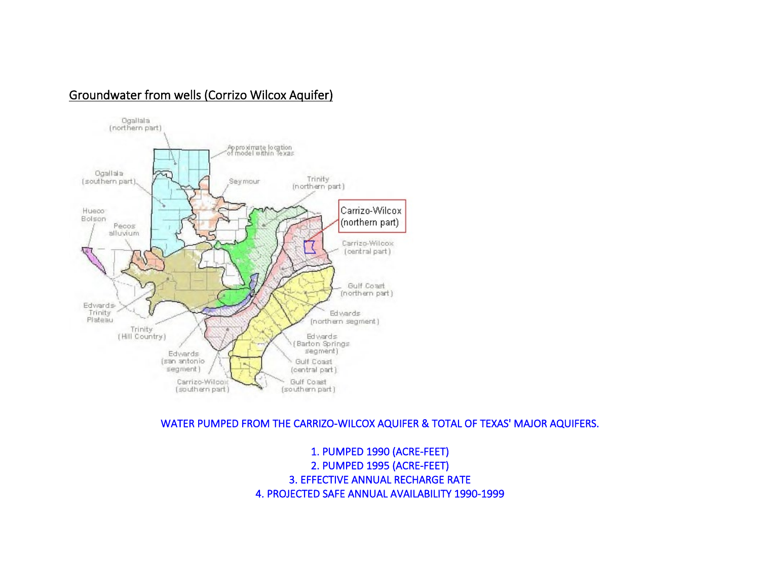## Groundwater from wells (Corrizo Wilcox Aquifer)



WATER PUMPED FROM THE CARRIZO-WILCOX AQUIFER & TOTAL OF TEXAS' MAJOR AQUIFERS.

1. PUMPED 1990 (ACRE-FEET) 2. PUMPED 1995 (ACRE-FEET) 3. EFFECTIVE ANNUAL RECHARGE RATE 4. PROJECTED SAFE ANNUAL AVAILABILITY 1990-1999